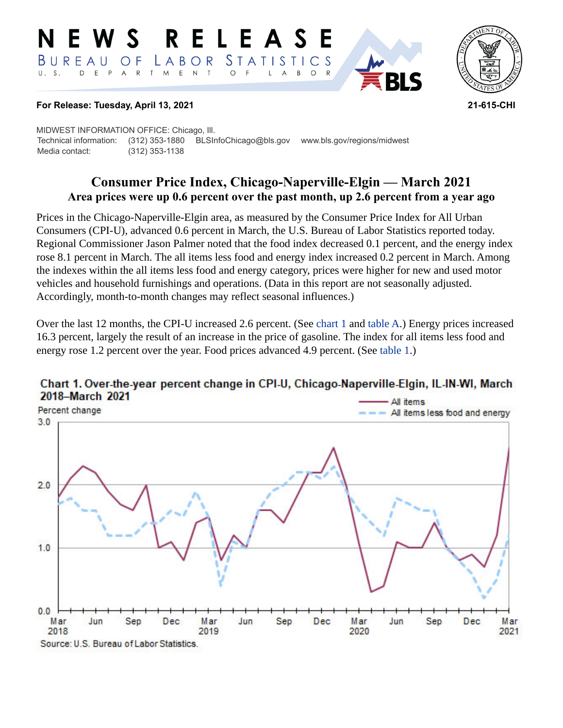#### **RELEASE** W S *STATISTICS* BUREAU LABOR  $\overline{O}$  F D E P  $\mathsf{R}$ T M E N  $T$  $\circ$  $U. S.$  $A$  $\overline{\mathsf{A}}$  $B$  $\circ$  $\mathsf{L}$



### **For Release: Tuesday, April 13, 2021 21-615-CHI**

MIDWEST INFORMATION OFFICE: Chicago, Ill. Technical information: (312) 353-1880 BLSInfoChicago@bls.gov www.bls.gov/regions/midwest Media contact: (312) 353-1138

# **Consumer Price Index, Chicago-Naperville-Elgin — March 2021 Area prices were up 0.6 percent over the past month, up 2.6 percent from a year ago**

Prices in the Chicago-Naperville-Elgin area, as measured by the Consumer Price Index for All Urban Consumers (CPI-U), advanced 0.6 percent in March, the U.S. Bureau of Labor Statistics reported today. Regional Commissioner Jason Palmer noted that the food index decreased 0.1 percent, and the energy index rose 8.1 percent in March. The all items less food and energy index increased 0.2 percent in March. Among the indexes within the all items less food and energy category, prices were higher for new and used motor vehicles and household furnishings and operations. (Data in this report are not seasonally adjusted. Accordingly, month-to-month changes may reflect seasonal influences.)

Over the last 12 months, the CPI-U increased 2.6 percent. (See [chart 1](#page-0-0) and [table A.](#page-1-0)) Energy prices increased 16.3 percent, largely the result of an increase in the price of gasoline. The index for all items less food and energy rose 1.2 percent over the year. Food prices advanced 4.9 percent. (See [table 1.](#page-4-0))



## <span id="page-0-0"></span>Chart 1. Over-the-year percent change in CPI-U, Chicago-Naperville-Elgin, IL-IN-WI, March 2018-March 2021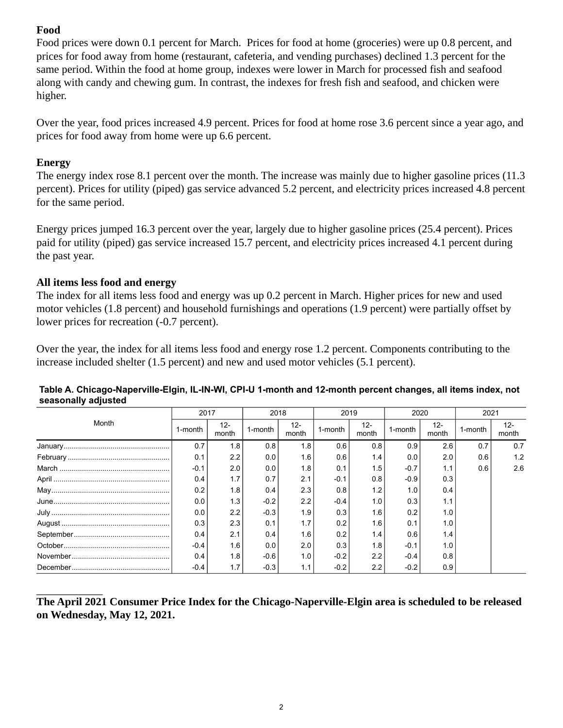# **Food**

Food prices were down 0.1 percent for March. Prices for food at home (groceries) were up 0.8 percent, and prices for food away from home (restaurant, cafeteria, and vending purchases) declined 1.3 percent for the same period. Within the food at home group, indexes were lower in March for processed fish and seafood along with candy and chewing gum. In contrast, the indexes for fresh fish and seafood, and chicken were higher.

Over the year, food prices increased 4.9 percent. Prices for food at home rose 3.6 percent since a year ago, and prices for food away from home were up 6.6 percent.

## **Energy**

The energy index rose 8.1 percent over the month. The increase was mainly due to higher gasoline prices (11.3 percent). Prices for utility (piped) gas service advanced 5.2 percent, and electricity prices increased 4.8 percent for the same period.

Energy prices jumped 16.3 percent over the year, largely due to higher gasoline prices (25.4 percent). Prices paid for utility (piped) gas service increased 15.7 percent, and electricity prices increased 4.1 percent during the past year.

## **All items less food and energy**

The index for all items less food and energy was up 0.2 percent in March. Higher prices for new and used motor vehicles (1.8 percent) and household furnishings and operations (1.9 percent) were partially offset by lower prices for recreation (-0.7 percent).

Over the year, the index for all items less food and energy rose 1.2 percent. Components contributing to the increase included shelter (1.5 percent) and new and used motor vehicles (5.1 percent).

| Month         | 2017    |                 | 2018    |                  | 2019    |                  | 2020    |                 | 2021    |                 |
|---------------|---------|-----------------|---------|------------------|---------|------------------|---------|-----------------|---------|-----------------|
|               | 1-month | $12 -$<br>month | 1-month | $12 -$<br>month  | 1-month | $12 -$<br>month  | 1-month | $12 -$<br>month | 1-month | $12 -$<br>month |
|               | 0.7     | 1.8             | 0.8     | 1.8              | 0.6     | 0.8              | 0.9     | 2.6             | 0.7     | 0.7             |
|               | 0.1     | 2.2             | 0.01    | 1.6 <sub>1</sub> | 0.6     | 1.4              | 0.0     | 2.0             | 0.6     | 1.2             |
|               | $-0.1$  | 2.0             | 0.0     | 1.8              | 0.1     | 1.5              | $-0.7$  | 1.1             | 0.6     | 2.6             |
|               | 0.4     | 1.7             | 0.7     | 2.1              | $-0.1$  | 0.8              | $-0.9$  | 0.3             |         |                 |
| ${\sf May}\\$ | 0.2     | 1.8             | 0.4     | 2.3              | 0.8     | 1.2 <sub>1</sub> | 1.0     | 0.4             |         |                 |
|               | 0.0     | 1.3             | $-0.2$  | 2.2              | $-0.4$  | 1.0              | 0.3     | 1.1             |         |                 |
|               | 0.0     | 2.2             | $-0.3$  | 1.9              | 0.3     | 1.6              | 0.2     | 1.0             |         |                 |
|               | 0.3     | 2.3             | 0.1     | 1.7              | 0.2     | 1.6              | 0.1     | 1.0             |         |                 |
|               | 0.4     | 2.1             | 0.4     | 1.6              | 0.2     | 1.4              | 0.6     | 1.4             |         |                 |
|               | $-0.4$  | 1.6             | 0.0     | 2.0              | 0.3     | 1.8              | $-0.1$  | 1.0             |         |                 |
|               | 0.4     | 1.8             | $-0.6$  | 1.0              | $-0.2$  | 2.2              | $-0.4$  | 0.8             |         |                 |
|               | $-0.4$  | 1.7             | $-0.3$  | 1.1              | $-0.2$  | 2.2              | $-0.2$  | 0.9             |         |                 |

### <span id="page-1-0"></span>**Table A. Chicago-Naperville-Elgin, IL-IN-WI, CPI-U 1-month and 12-month percent changes, all items index, not seasonally adjusted**

**The April 2021 Consumer Price Index for the Chicago-Naperville-Elgin area is scheduled to be released on Wednesday, May 12, 2021.**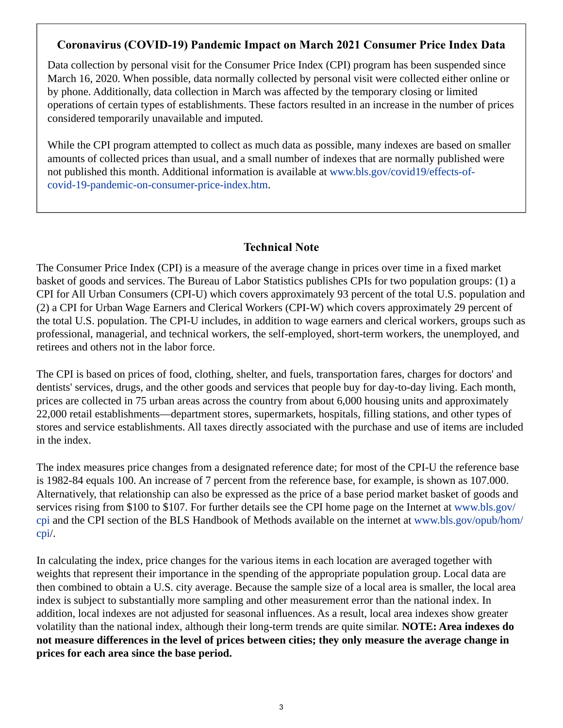# **Coronavirus (COVID-19) Pandemic Impact on March 2021 Consumer Price Index Data**

Data collection by personal visit for the Consumer Price Index (CPI) program has been suspended since March 16, 2020. When possible, data normally collected by personal visit were collected either online or by phone. Additionally, data collection in March was affected by the temporary closing or limited operations of certain types of establishments. These factors resulted in an increase in the number of prices considered temporarily unavailable and imputed.

While the CPI program attempted to collect as much data as possible, many indexes are based on smaller amounts of collected prices than usual, and a small number of indexes that are normally published were not published this month. Additional information is available at [www.bls.gov/covid19/effects-of](https://www.bls.gov/covid19/effects-of-covid-19-pandemic-on-consumer-price-index.htm)[covid-19-pandemic-on-consumer-price-index.htm](https://www.bls.gov/covid19/effects-of-covid-19-pandemic-on-consumer-price-index.htm).

## **Technical Note**

The Consumer Price Index (CPI) is a measure of the average change in prices over time in a fixed market basket of goods and services. The Bureau of Labor Statistics publishes CPIs for two population groups: (1) a CPI for All Urban Consumers (CPI-U) which covers approximately 93 percent of the total U.S. population and (2) a CPI for Urban Wage Earners and Clerical Workers (CPI-W) which covers approximately 29 percent of the total U.S. population. The CPI-U includes, in addition to wage earners and clerical workers, groups such as professional, managerial, and technical workers, the self-employed, short-term workers, the unemployed, and retirees and others not in the labor force.

The CPI is based on prices of food, clothing, shelter, and fuels, transportation fares, charges for doctors' and dentists' services, drugs, and the other goods and services that people buy for day-to-day living. Each month, prices are collected in 75 urban areas across the country from about 6,000 housing units and approximately 22,000 retail establishments—department stores, supermarkets, hospitals, filling stations, and other types of stores and service establishments. All taxes directly associated with the purchase and use of items are included in the index.

The index measures price changes from a designated reference date; for most of the CPI-U the reference base is 1982-84 equals 100. An increase of 7 percent from the reference base, for example, is shown as 107.000. Alternatively, that relationship can also be expressed as the price of a base period market basket of goods and services rising from \$100 to \$107. For further details see the CPI home page on the Internet at [www.bls.gov/](https://www.bls.gov/cpi) [cpi](https://www.bls.gov/cpi) and the CPI section of the BLS Handbook of Methods available on the internet at [www.bls.gov/opub/hom/](https://www.bls.gov/opub/hom/cpi) [cpi](https://www.bls.gov/opub/hom/cpi)/.

In calculating the index, price changes for the various items in each location are averaged together with weights that represent their importance in the spending of the appropriate population group. Local data are then combined to obtain a U.S. city average. Because the sample size of a local area is smaller, the local area index is subject to substantially more sampling and other measurement error than the national index. In addition, local indexes are not adjusted for seasonal influences. As a result, local area indexes show greater volatility than the national index, although their long-term trends are quite similar. **NOTE: Area indexes do not measure differences in the level of prices between cities; they only measure the average change in prices for each area since the base period.**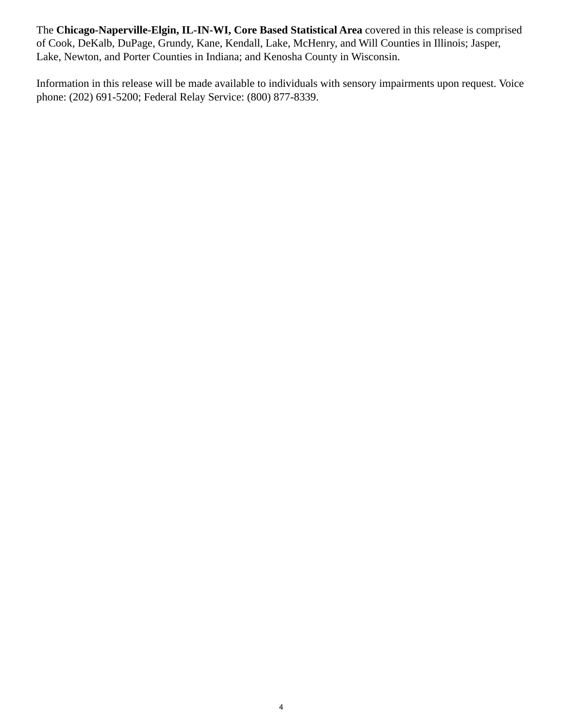The **Chicago-Naperville-Elgin, IL-IN-WI, Core Based Statistical Area** covered in this release is comprised of Cook, DeKalb, DuPage, Grundy, Kane, Kendall, Lake, McHenry, and Will Counties in Illinois; Jasper, Lake, Newton, and Porter Counties in Indiana; and Kenosha County in Wisconsin.

Information in this release will be made available to individuals with sensory impairments upon request. Voice phone: (202) 691-5200; Federal Relay Service: (800) 877-8339.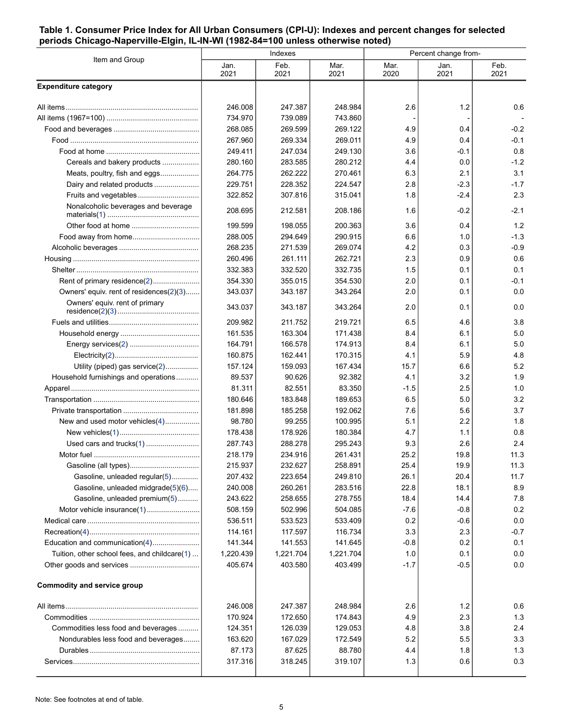#### <span id="page-4-0"></span>**Table 1. Consumer Price Index for All Urban Consumers (CPI-U): Indexes and percent changes for selected periods Chicago-Naperville-Elgin, IL-IN-WI (1982-84=100 unless otherwise noted)**

|                                              |                    | Indexes            |                    | Percent change from- |               |              |  |
|----------------------------------------------|--------------------|--------------------|--------------------|----------------------|---------------|--------------|--|
| Item and Group                               | Jan.<br>2021       | Feb.<br>2021       | Mar.<br>2021       | Mar.<br>2020         | Jan.<br>2021  | Feb.<br>2021 |  |
| <b>Expenditure category</b>                  |                    |                    |                    |                      |               |              |  |
|                                              | 246.008            | 247.387            | 248.984            | 2.6                  | 1.2           | 0.6          |  |
|                                              | 734.970            | 739.089            | 743.860            |                      |               |              |  |
|                                              | 268.085            | 269.599            | 269.122            | 4.9                  | 0.4           | $-0.2$       |  |
|                                              | 267.960            | 269.334            | 269.011            | 4.9                  | 0.4           | $-0.1$       |  |
|                                              | 249.411            | 247.034            | 249.130            | 3.6                  | -0.1          | 0.8          |  |
| Cereals and bakery products                  | 280.160            | 283.585            | 280.212            | 4.4                  | 0.0           | $-1.2$       |  |
| Meats, poultry, fish and eggs                | 264.775            | 262.222            | 270.461            | 6.3                  | 2.1           | 3.1          |  |
| Dairy and related products                   | 229.751            | 228.352            | 224.547            | 2.8                  | $-2.3$        | $-1.7$       |  |
| Fruits and vegetables                        | 322.852            | 307.816            | 315.041            | 1.8                  | $-2.4$        | 2.3          |  |
| Nonalcoholic beverages and beverage          | 208.695            | 212.581            | 208.186            | 1.6                  | $-0.2$        | $-2.1$       |  |
|                                              | 199.599            | 198.055            | 200.363            | 3.6                  | 0.4           | 1.2          |  |
|                                              | 288.005            | 294.649            | 290.915            | 6.6                  | 1.0           | $-1.3$       |  |
|                                              | 268.235            | 271.539            | 269.074            | 4.2                  | 0.3           | $-0.9$       |  |
|                                              | 260.496            | 261.111            | 262.721            | 2.3                  | 0.9           | 0.6          |  |
|                                              | 332.383            | 332.520            | 332.735            | 1.5                  | 0.1           | 0.1          |  |
| Rent of primary residence(2)                 | 354.330            | 355.015            | 354.530            | 2.0                  | 0.1           | $-0.1$       |  |
| Owners' equiv. rent of residences(2)(3)      | 343.037            | 343.187            | 343.264            | 2.0                  | 0.1           | 0.0          |  |
| Owners' equiv. rent of primary               | 343.037            | 343.187            | 343.264            | 2.0                  | 0.1           | 0.0          |  |
|                                              | 209.982            | 211.752            | 219.721            | 6.5                  | 4.6           | 3.8          |  |
|                                              | 161.535            | 163.304            | 171.438            | 8.4                  | 6.1           | 5.0          |  |
|                                              | 164.791            | 166.578            | 174.913            | 8.4                  | 6.1           | 5.0          |  |
|                                              | 160.875            | 162.441            | 170.315            | 4.1                  | 5.9           | 4.8          |  |
| Utility (piped) gas service(2)               | 157.124            | 159.093            | 167.434            | 15.7                 | 6.6           | 5.2          |  |
| Household furnishings and operations         | 89.537             | 90.626             | 92.382             | 4.1                  | 3.2           | 1.9          |  |
|                                              | 81.311             | 82.551             | 83.350             | $-1.5$               | 2.5           | 1.0          |  |
|                                              | 180.646            | 183.848            | 189.653            | 6.5                  | 5.0           | 3.2          |  |
|                                              | 181.898            | 185.258            | 192.062            | 7.6                  | 5.6           | 3.7          |  |
| New and used motor vehicles(4)               | 98.780             | 99.255             | 100.995            | 5.1                  | 2.2           | 1.8          |  |
|                                              | 178.438            | 178.926            | 180.384            | 4.7                  | 1.1           | 0.8          |  |
|                                              | 287.743            | 288.278            | 295.243            | 9.3                  | 2.6           | 2.4          |  |
|                                              | 218.179            | 234.916            | 261.431            | 25.2                 | 19.8          | 11.3         |  |
|                                              | 215.937            | 232.627            | 258.891            | 25.4                 | 19.9          | 11.3         |  |
| Gasoline, unleaded regular(5)                | 207.432            | 223.654            | 249.810            | 26.1                 | 20.4          | 11.7         |  |
| Gasoline, unleaded midgrade(5)(6)            | 240.008            | 260.261            | 283.516            | 22.8                 | 18.1          | 8.9          |  |
| Gasoline, unleaded premium(5)                | 243.622            | 258.655            | 278.755            | 18.4                 | 14.4          | 7.8          |  |
|                                              | 508.159            | 502.996            | 504.085<br>533.409 | $-7.6$               | $-0.8$        | 0.2<br>0.0   |  |
|                                              | 536.511<br>114.161 | 533.523<br>117.597 | 116.734            | 0.2<br>3.3           | $-0.6$<br>2.3 | $-0.7$       |  |
| Education and communication(4)               | 141.344            | 141.553            | 141.645            | $-0.8$               | 0.2           | 0.1          |  |
| Tuition, other school fees, and childcare(1) | 1,220.439          | 1,221.704          | 1,221.704          | 1.0                  | 0.1           | 0.0          |  |
|                                              | 405.674            | 403.580            | 403.499            | $-1.7$               | $-0.5$        | 0.0          |  |
|                                              |                    |                    |                    |                      |               |              |  |
| <b>Commodity and service group</b>           |                    |                    |                    |                      |               |              |  |
|                                              | 246.008            | 247.387            | 248.984            | 2.6                  | 1.2           | 0.6          |  |
|                                              | 170.924            | 172.650            | 174.843            | 4.9                  | 2.3           | 1.3          |  |
| Commodities less food and beverages          | 124.351            | 126.039            | 129.053            | 4.8                  | 3.8           | 2.4          |  |
| Nondurables less food and beverages          | 163.620            | 167.029            | 172.549            | 5.2                  | 5.5           | 3.3          |  |
|                                              | 87.173             | 87.625             | 88.780             | 4.4                  | 1.8           | 1.3          |  |
|                                              | 317.316            | 318.245            | 319.107            | 1.3                  | 0.6           | 0.3          |  |